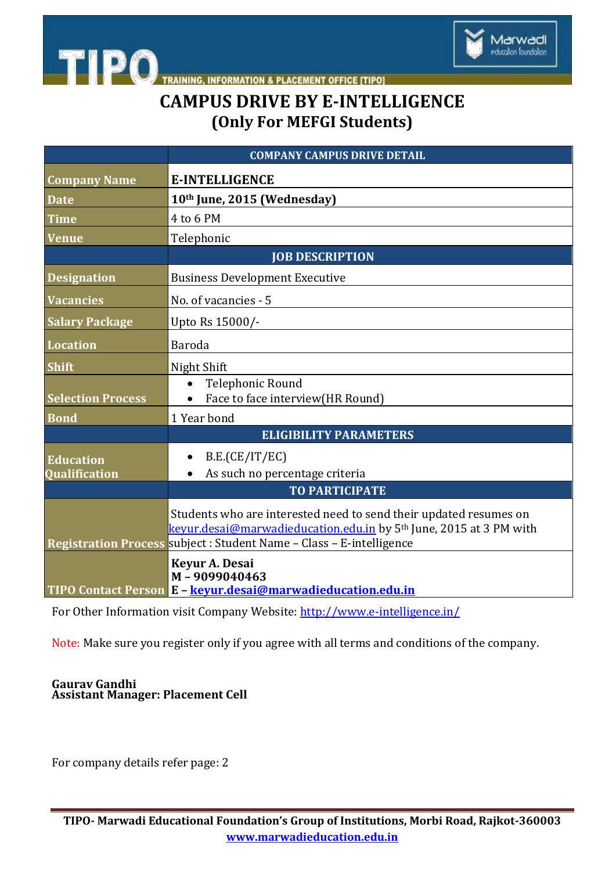

# **TRAINING, INFORMATION & PLACEMENT OFFICE [TIPO]**<br>CAMPUS DRIVE BY E-INTELLIGENCE **(Only For MEFGI Students)**

|                          | <b>COMPANY CAMPUS DRIVE DETAIL</b>                                                                                                                                                                                          |
|--------------------------|-----------------------------------------------------------------------------------------------------------------------------------------------------------------------------------------------------------------------------|
| <b>Company Name</b>      | <b>E-INTELLIGENCE</b>                                                                                                                                                                                                       |
| <b>Date</b>              | 10th June, 2015 (Wednesday)                                                                                                                                                                                                 |
| <b>Time</b>              | 4 to 6 PM                                                                                                                                                                                                                   |
| <b>Venue</b>             | Telephonic                                                                                                                                                                                                                  |
|                          | <b>JOB DESCRIPTION</b>                                                                                                                                                                                                      |
| <b>Designation</b>       | <b>Business Development Executive</b>                                                                                                                                                                                       |
| <b>Vacancies</b>         | No. of vacancies - 5                                                                                                                                                                                                        |
| <b>Salary Package</b>    | Upto Rs 15000/-                                                                                                                                                                                                             |
| <b>Location</b>          | Baroda                                                                                                                                                                                                                      |
| <b>Shift</b>             | Night Shift                                                                                                                                                                                                                 |
| <b>Selection Process</b> | Telephonic Round<br>Face to face interview(HR Round)                                                                                                                                                                        |
| <b>Bond</b>              | 1 Year bond                                                                                                                                                                                                                 |
|                          | <b>ELIGIBILITY PARAMETERS</b>                                                                                                                                                                                               |
| <b>Education</b>         | B.E.(CE/IT/EC)                                                                                                                                                                                                              |
| <b>Qualification</b>     | As such no percentage criteria<br><b>TO PARTICIPATE</b>                                                                                                                                                                     |
|                          | Students who are interested need to send their updated resumes on<br>keyur.desai@marwadieducation.edu.in by 5 <sup>th</sup> June, 2015 at 3 PM with<br>Registration Process subject : Student Name - Class - E-intelligence |
|                          | <b>Keyur A. Desai</b><br>M-9099040463<br>TIPO Contact Person E - keyur.desai@marwadieducation.edu.in                                                                                                                        |

For Other Information visit Company Website: <http://www.e-intelligence.in/>

Note: Make sure you register only if you agree with all terms and conditions of the company.

#### **Gaurav Gandhi Assistant Manager: Placement Cell**

**TIPO** 

For company details refer page: 2